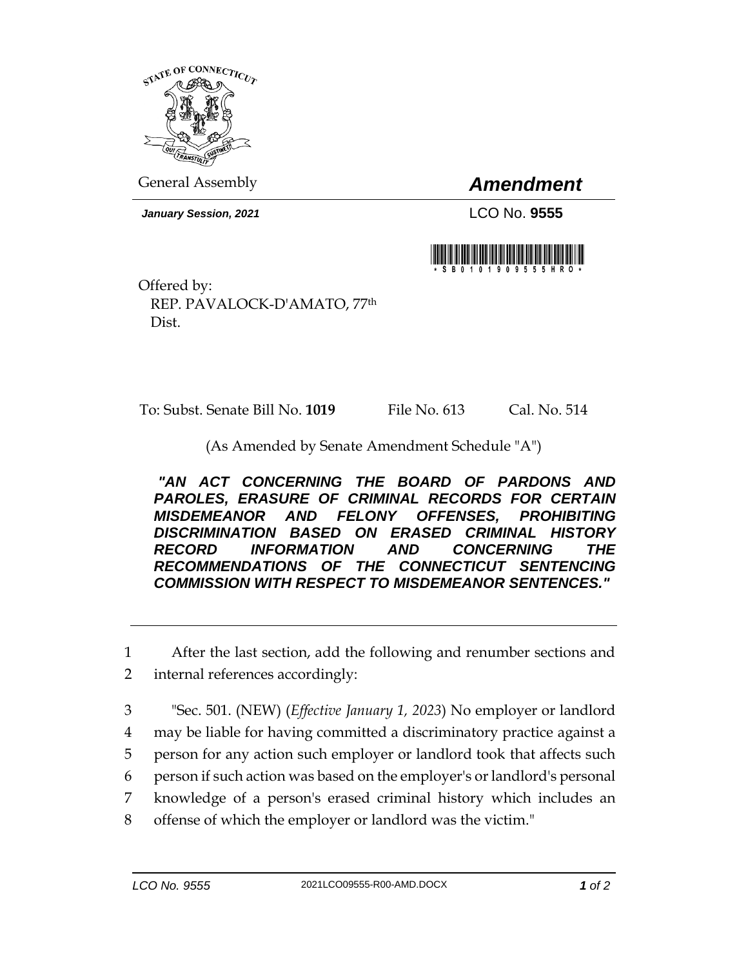

General Assembly *Amendment*

*January Session, 2021* LCO No. **9555**



Offered by: REP. PAVALOCK-D'AMATO, 77th Dist.

To: Subst. Senate Bill No. **1019** File No. 613 Cal. No. 514

(As Amended by Senate Amendment Schedule "A")

*"AN ACT CONCERNING THE BOARD OF PARDONS AND PAROLES, ERASURE OF CRIMINAL RECORDS FOR CERTAIN MISDEMEANOR AND FELONY OFFENSES, PROHIBITING DISCRIMINATION BASED ON ERASED CRIMINAL HISTORY RECORD INFORMATION AND CONCERNING THE RECOMMENDATIONS OF THE CONNECTICUT SENTENCING COMMISSION WITH RESPECT TO MISDEMEANOR SENTENCES."* 

1 After the last section, add the following and renumber sections and

2 internal references accordingly:

3 "Sec. 501. (NEW) (*Effective January 1, 2023*) No employer or landlord

- 4 may be liable for having committed a discriminatory practice against a
- 5 person for any action such employer or landlord took that affects such
- 6 person if such action was based on the employer's or landlord's personal
- 7 knowledge of a person's erased criminal history which includes an
- 8 offense of which the employer or landlord was the victim."